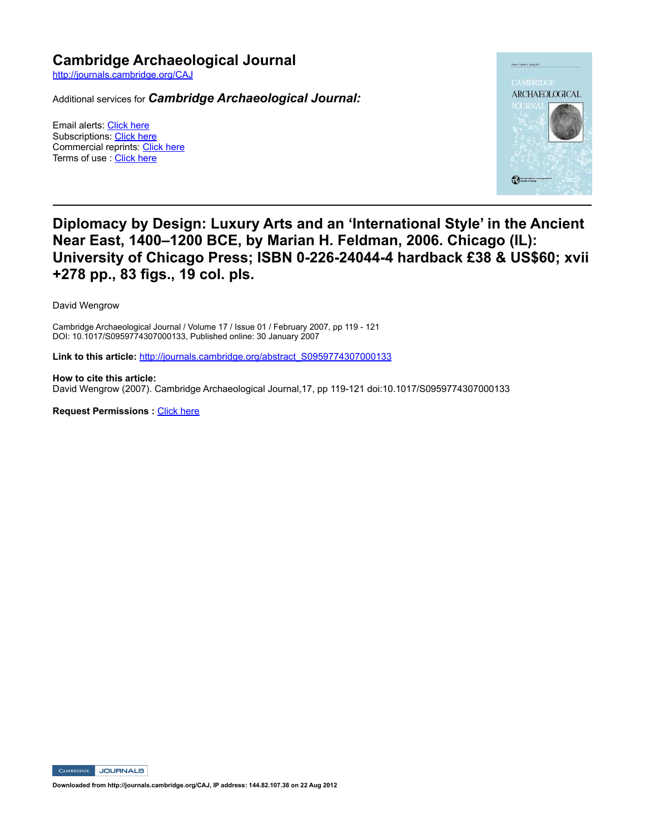## **Cambridge Archaeological Journal**

http://journals.cambridge.org/CAJ

Additional services for *Cambridge Archaeological Journal:*

Email alerts: Click here Subscriptions: Click here Commercial reprints: Click here Terms of use : Click here



## **Diplomacy by Design: Luxury Arts and an 'International Style' in the Ancient Near East, 1400–1200 BCE, by Marian H. Feldman, 2006. Chicago (IL): University of Chicago Press; ISBN 0226240444 hardback £38 & US\$60; xvii +278 pp., 83 figs., 19 col. pls.**

David Wengrow

Cambridge Archaeological Journal / Volume 17 / Issue 01 / February 2007, pp 119 121 DOI: 10.1017/S0959774307000133, Published online: 30 January 2007

Link to this article: http://journals.cambridge.org/abstract\_S0959774307000133

**How to cite this article:** David Wengrow (2007). Cambridge Archaeological Journal,17, pp 119121 doi:10.1017/S0959774307000133

**Request Permissions : Click here** 

CAMBRIDGE JOURNALS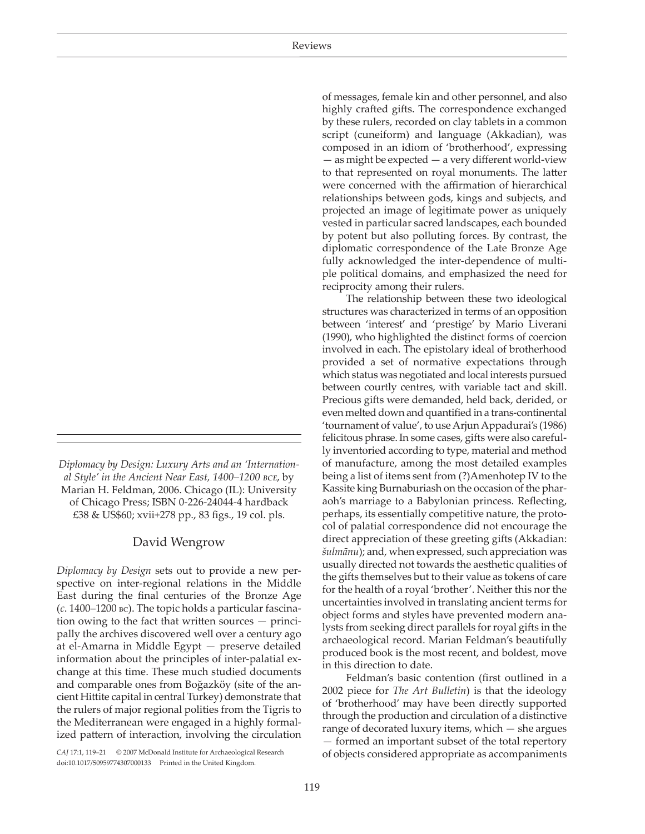*Diplomacy by Design: Luxury Arts and an 'International Style' in the Ancient Near East, 1400–1200 bce*, by Marian H. Feldman, 2006. Chicago (IL): University of Chicago Press; ISBN 0-226-24044-4 hardback £38 & US\$60; xvii+278 pp., 83 figs., 19 col. pls.

## David Wengrow

*Diplomacy by Design* sets out to provide a new perspective on inter-regional relations in the Middle East during the final centuries of the Bronze Age (*c*. 1400–1200 bc). The topic holds a particular fascination owing to the fact that written sources — principally the archives discovered well over a century ago at el-Amarna in Middle Egypt — preserve detailed information about the principles of inter-palatial exchange at this time. These much studied documents and comparable ones from Boğazköy (site of the ancient Hittite capital in central Turkey) demonstrate that the rulers of major regional polities from the Tigris to the Mediterranean were engaged in a highly formalized pattern of interaction, involving the circulation

doi:10.1017/S0959774307000133 Printed in the United Kingdom.

of messages, female kin and other personnel, and also highly crafted gifts. The correspondence exchanged by these rulers, recorded on clay tablets in a common script (cuneiform) and language (Akkadian), was composed in an idiom of 'brotherhood', expressing — as might be expected — a very different world-view to that represented on royal monuments. The latter were concerned with the affirmation of hierarchical relationships between gods, kings and subjects, and projected an image of legitimate power as uniquely vested in particular sacred landscapes, each bounded by potent but also polluting forces. By contrast, the diplomatic correspondence of the Late Bronze Age fully acknowledged the inter-dependence of multiple political domains, and emphasized the need for reciprocity among their rulers.

The relationship between these two ideological structures was characterized in terms of an opposition between 'interest' and 'prestige' by Mario Liverani (1990), who highlighted the distinct forms of coercion involved in each. The epistolary ideal of brotherhood provided a set of normative expectations through which status was negotiated and local interests pursued between courtly centres, with variable tact and skill. Precious gifts were demanded, held back, derided, or even melted down and quantified in a trans-continental 'tournament of value', to use Arjun Appadurai's (1986) felicitous phrase. In some cases, gifts were also carefully inventoried according to type, material and method of manufacture, among the most detailed examples being a list of items sent from (?)Amenhotep IV to the Kassite king Burnaburiash on the occasion of the pharaoh's marriage to a Babylonian princess. Reflecting, perhaps, its essentially competitive nature, the protocol of palatial correspondence did not encourage the direct appreciation of these greeting gifts (Akkadian: *šulmānu*); and, when expressed, such appreciation was usually directed not towards the aesthetic qualities of the gifts themselves but to their value as tokens of care for the health of a royal 'brother'. Neither this nor the uncertainties involved in translating ancient terms for object forms and styles have prevented modern analysts from seeking direct parallels for royal gifts in the archaeological record. Marian Feldman's beautifully produced book is the most recent, and boldest, move in this direction to date.

Feldman's basic contention (first outlined in a 2002 piece for *The Art Bulletin*) is that the ideology of 'brotherhood' may have been directly supported through the production and circulation of a distinctive range of decorated luxury items, which — she argues — formed an important subset of the total repertory of objects considered appropriate as accompaniments *CAJ* 17:1, 119–21 © 2007 McDonald Institute for Archaeological Research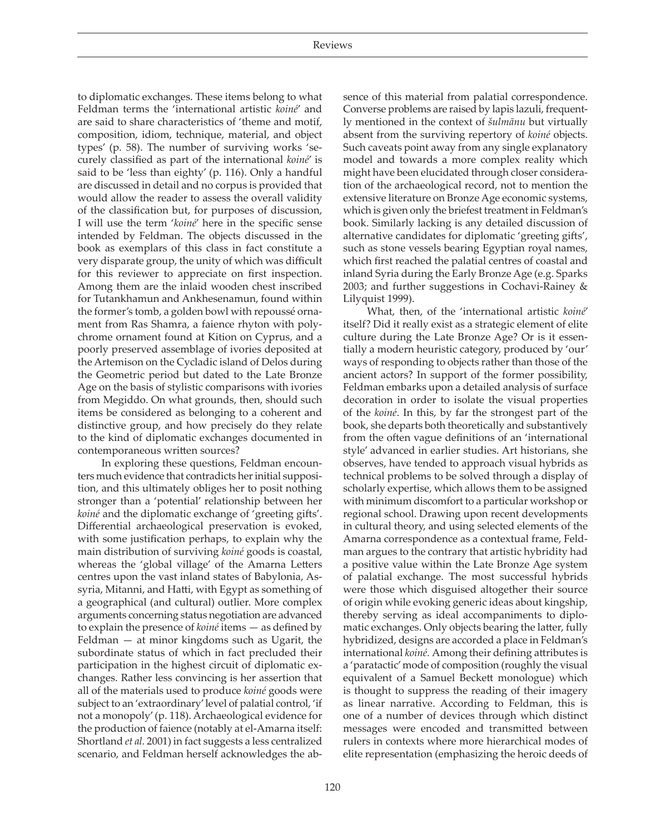to diplomatic exchanges. These items belong to what Feldman terms the 'international artistic *koiné*' and are said to share characteristics of 'theme and motif, composition, idiom, technique, material, and object types' (p. 58). The number of surviving works 'securely classified as part of the international *koiné*' is said to be 'less than eighty' (p. 116). Only a handful are discussed in detail and no corpus is provided that would allow the reader to assess the overall validity of the classification but, for purposes of discussion, I will use the term '*koiné*' here in the specific sense intended by Feldman. The objects discussed in the book as exemplars of this class in fact constitute a very disparate group, the unity of which was difficult for this reviewer to appreciate on first inspection. Among them are the inlaid wooden chest inscribed for Tutankhamun and Ankhesenamun, found within the former's tomb, a golden bowl with repoussé ornament from Ras Shamra, a faience rhyton with polychrome ornament found at Kition on Cyprus, and a poorly preserved assemblage of ivories deposited at the Artemison on the Cycladic island of Delos during the Geometric period but dated to the Late Bronze Age on the basis of stylistic comparisons with ivories from Megiddo. On what grounds, then, should such items be considered as belonging to a coherent and distinctive group, and how precisely do they relate to the kind of diplomatic exchanges documented in contemporaneous written sources?

In exploring these questions, Feldman encounters much evidence that contradicts her initial supposition, and this ultimately obliges her to posit nothing stronger than a 'potential' relationship between her *koiné* and the diplomatic exchange of 'greeting gifts'. Differential archaeological preservation is evoked, with some justification perhaps, to explain why the main distribution of surviving *koiné* goods is coastal, whereas the 'global village' of the Amarna Letters centres upon the vast inland states of Babylonia, Assyria, Mitanni, and Hatti, with Egypt as something of a geographical (and cultural) outlier. More complex arguments concerning status negotiation are advanced to explain the presence of *koiné* items — as defined by Feldman — at minor kingdoms such as Ugarit, the subordinate status of which in fact precluded their participation in the highest circuit of diplomatic exchanges. Rather less convincing is her assertion that all of the materials used to produce *koiné* goods were subject to an 'extraordinary' level of palatial control, 'if not a monopoly' (p. 118). Archaeological evidence for the production of faience (notably at el-Amarna itself: Shortland *et al.* 2001) in fact suggests a less centralized scenario, and Feldman herself acknowledges the absence of this material from palatial correspondence. Converse problems are raised by lapis lazuli, frequently mentioned in the context of *šulmānu* but virtually absent from the surviving repertory of *koiné* objects. Such caveats point away from any single explanatory model and towards a more complex reality which might have been elucidated through closer consideration of the archaeological record, not to mention the extensive literature on Bronze Age economic systems, which is given only the briefest treatment in Feldman's book. Similarly lacking is any detailed discussion of alternative candidates for diplomatic 'greeting gifts', such as stone vessels bearing Egyptian royal names, which first reached the palatial centres of coastal and inland Syria during the Early Bronze Age (e.g. Sparks 2003; and further suggestions in Cochavi-Rainey & Lilyquist 1999).

What, then, of the 'international artistic *koiné*' itself? Did it really exist as a strategic element of elite culture during the Late Bronze Age? Or is it essentially a modern heuristic category, produced by 'our' ways of responding to objects rather than those of the ancient actors? In support of the former possibility, Feldman embarks upon a detailed analysis of surface decoration in order to isolate the visual properties of the *koiné*. In this, by far the strongest part of the book, she departs both theoretically and substantively from the often vague definitions of an 'international style' advanced in earlier studies. Art historians, she observes, have tended to approach visual hybrids as technical problems to be solved through a display of scholarly expertise, which allows them to be assigned with minimum discomfort to a particular workshop or regional school. Drawing upon recent developments in cultural theory, and using selected elements of the Amarna correspondence as a contextual frame, Feldman argues to the contrary that artistic hybridity had a positive value within the Late Bronze Age system of palatial exchange. The most successful hybrids were those which disguised altogether their source of origin while evoking generic ideas about kingship, thereby serving as ideal accompaniments to diplomatic exchanges. Only objects bearing the latter, fully hybridized, designs are accorded a place in Feldman's international *koiné.* Among their defining attributes is a 'paratactic' mode of composition (roughly the visual equivalent of a Samuel Beckett monologue) which is thought to suppress the reading of their imagery as linear narrative. According to Feldman, this is one of a number of devices through which distinct messages were encoded and transmitted between rulers in contexts where more hierarchical modes of elite representation (emphasizing the heroic deeds of